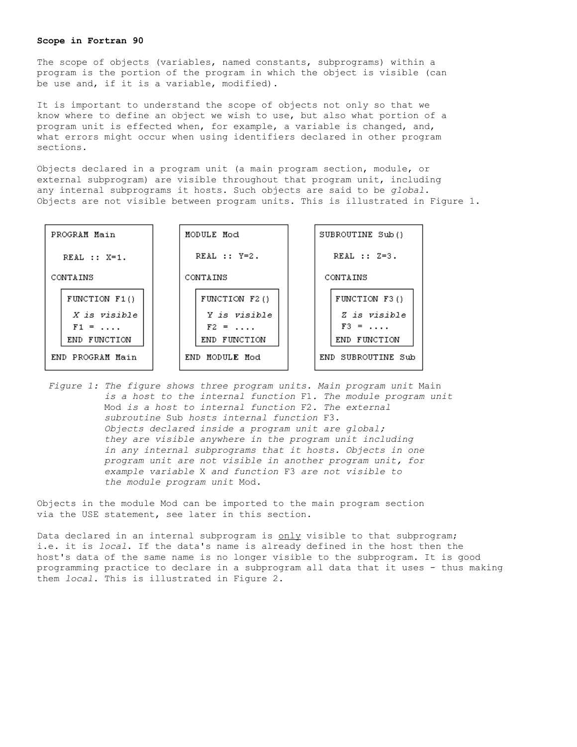## **Scope in Fortran 90**

The scope of objects (variables, named constants, subprograms) within a program is the portion of the program in which the object is visible (can be use and, if it is a variable, modified).

It is important to understand the scope of objects not only so that we know where to define an object we wish to use, but also what portion of a program unit is effected when, for example, a variable is changed, and, what errors might occur when using identifiers declared in other program sections.

Objects declared in a program unit (a main program section, module, or external subprogram) are visible throughout that program unit, including any internal subprograms it hosts. Such objects are said to be *global*. Objects are not visible between program units. This is illustrated in Figure 1.

| PROGRAM Main                       | MODULE Mod                    | SUBROUTINE Sub()       |
|------------------------------------|-------------------------------|------------------------|
| $REAL :: X=1.$                     | $REAL :: Y=2.$                | $REAL :: Z=3.$         |
| CONTAINS                           | CONTAINS                      | CONTAINS               |
| FUNCTION F1()                      | FUNCTION F2()                 | FUNCTION F3()          |
| X is visible                       | Y is visible                  | Z is visible           |
| $F1 =$<br>END FUNCTION             | $F2 = \ldots$<br>END FUNCTION | $F3 =$<br>END FUNCTION |
| END MODULE Mod<br>END PROGRAM Main |                               | END SUBROUTINE Sub     |

 *Figure 1: The figure shows three program units. Main program unit* Main  *is a host to the internal function* F1*. The module program unit* Mod *is a host to internal function* F2*. The external subroutine* Sub *hosts internal function* F3*. Objects declared inside a program unit are global; they are visible anywhere in the program unit including in any internal subprograms that it hosts. Objects in one program unit are not visible in another program unit, for example variable* X *and function* F3 *are not visible to the module program unit* Mod*.*

Objects in the module Mod can be imported to the main program section via the USE statement, see later in this section.

Data declared in an internal subprogram is only visible to that subprogram; i.e. it is *local*. If the data's name is already defined in the host then the host's data of the same name is no longer visible to the subprogram. It is good programming practice to declare in a subprogram all data that it uses - thus making them *local*. This is illustrated in Figure 2.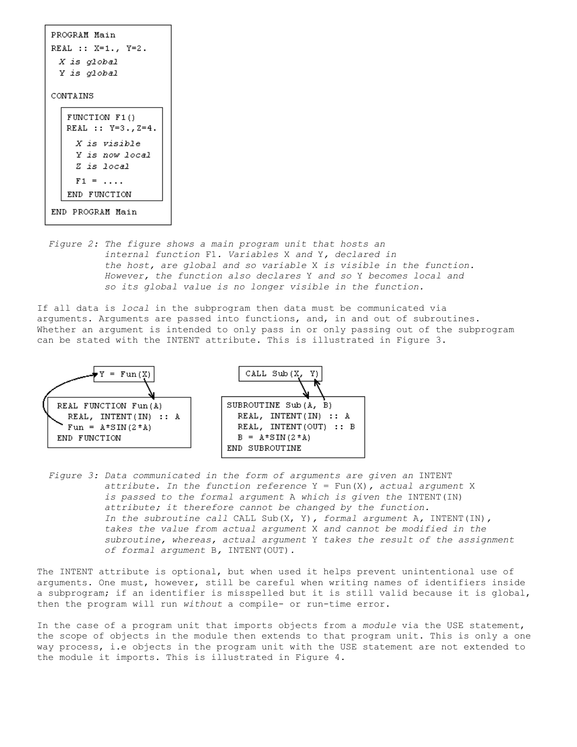| PROGRAM Main                       |  |  |
|------------------------------------|--|--|
| REAL :: X=1., Y=2.                 |  |  |
| X is global                        |  |  |
| Y is qlobal                        |  |  |
| CONTAINS                           |  |  |
| FUNCTION F1()<br>REAL :: Y=3.,Z=4. |  |  |
| X is visible                       |  |  |
| Y is now local                     |  |  |
| <i>Z is local</i>                  |  |  |
| $F1 =$                             |  |  |
| END FUNCTION                       |  |  |
| END PROGRAM Main                   |  |  |

 *Figure 2: The figure shows a main program unit that hosts an internal function* F1*. Variables* X *and* Y*, declared in the host, are global and so variable* X *is visible in the function. However, the function also declares* Y *and so* Y *becomes local and so its global value is no longer visible in the function.*

If all data is *local* in the subprogram then data must be communicated via arguments. Arguments are passed into functions, and, in and out of subroutines. Whether an argument is intended to only pass in or only passing out of the subprogram can be stated with the INTENT attribute. This is illustrated in Figure 3.



Figure 3: Data communicated in the form of arguments are given an INTENT  *attribute. In the function reference* Y = Fun(X)*, actual argument* X  *is passed to the formal argument* A *which is given the* INTENT(IN)  *attribute; it therefore cannot be changed by the function. In the subroutine call* CALL Sub(X, Y)*, formal argument* A*,* INTENT(IN)*, takes the value from actual argument* X *and cannot be modified in the subroutine, whereas, actual argument* Y *takes the result of the assignment of formal argument* B*,* INTENT(OUT)*.*

The INTENT attribute is optional, but when used it helps prevent unintentional use of arguments. One must, however, still be careful when writing names of identifiers inside a subprogram; if an identifier is misspelled but it is still valid because it is global, then the program will run *without* a compile- or run-time error.

In the case of a program unit that imports objects from a *module* via the USE statement, the scope of objects in the module then extends to that program unit. This is only a one way process, i.e objects in the program unit with the USE statement are not extended to the module it imports. This is illustrated in Figure 4.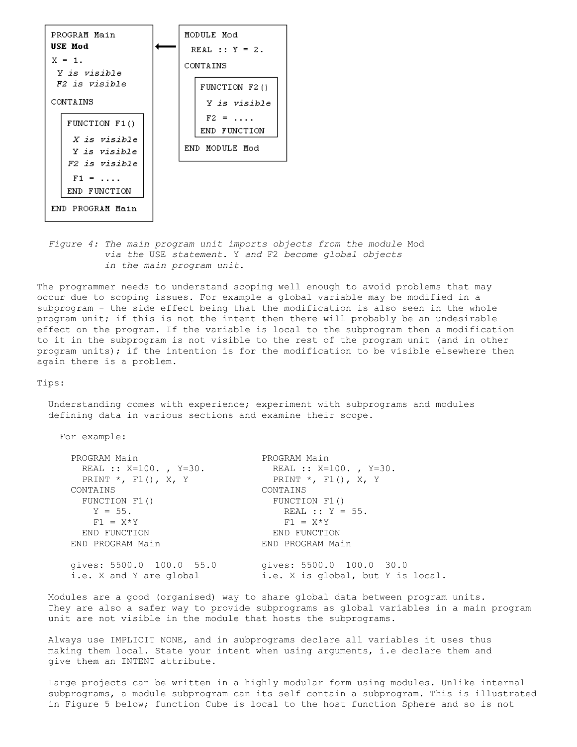

*Figure 4: The main program unit imports objects from the module* Mod  *via the* USE *statement.* Y *and* F2 *become global objects in the main program unit.*

The programmer needs to understand scoping well enough to avoid problems that may occur due to scoping issues. For example a global variable may be modified in a subprogram - the side effect being that the modification is also seen in the whole program unit; if this is not the intent then there will probably be an undesirable effect on the program. If the variable is local to the subprogram then a modification to it in the subprogram is not visible to the rest of the program unit (and in other program units); if the intention is for the modification to be visible elsewhere then again there is a problem.

## Tips:

 Understanding comes with experience; experiment with subprograms and modules defining data in various sections and examine their scope.

For example:

| PROGRAM Main                | PROGRAM Main                      |
|-----------------------------|-----------------------------------|
| REAL :: $X=100$ ., $Y=30$ . | REAL :: $X=100$ ., $Y=30$ .       |
| PRINT $\star$ , F1(), X, Y  | PRINT $\star$ , F1(), X, Y        |
| CONTAINS                    | CONTAINS                          |
| FUNCTION F1()               | FUNCTION F1()                     |
| $Y = 55.$                   | REAL :: $Y = 55$ .                |
| $F1 = X*Y$                  | $F1 = X*Y$                        |
| END FUNCTION                | END FUNCTION                      |
| END PROGRAM Main            | END PROGRAM Main                  |
| gives: 5500.0 100.0 55.0    | qives: 5500.0 100.0 30.0          |
| i.e. X and Y are global     | i.e. X is global, but Y is local. |

 Modules are a good (organised) way to share global data between program units. They are also a safer way to provide subprograms as global variables in a main program unit are not visible in the module that hosts the subprograms.

 Always use IMPLICIT NONE, and in subprograms declare all variables it uses thus making them local. State your intent when using arguments, i.e declare them and give them an INTENT attribute.

 Large projects can be written in a highly modular form using modules. Unlike internal subprograms, a module subprogram can its self contain a subprogram. This is illustrated in Figure 5 below; function Cube is local to the host function Sphere and so is not